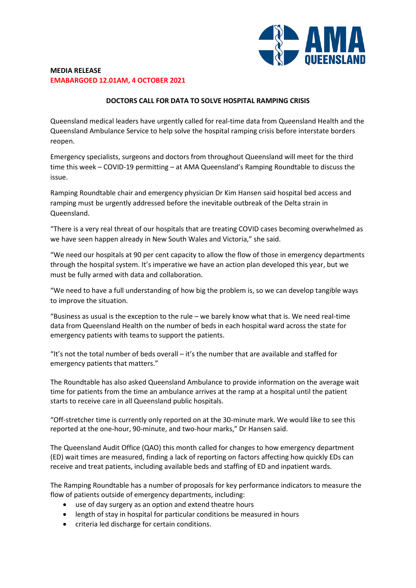

## **MEDIA RELEASE EMABARGOED 12.01AM, 4 OCTOBER 2021**

## **DOCTORS CALL FOR DATA TO SOLVE HOSPITAL RAMPING CRISIS**

Queensland medical leaders have urgently called for real-time data from Queensland Health and the Queensland Ambulance Service to help solve the hospital ramping crisis before interstate borders reopen.

Emergency specialists, surgeons and doctors from throughout Queensland will meet for the third time this week – COVID-19 permitting – at AMA Queensland's Ramping Roundtable to discuss the issue.

Ramping Roundtable chair and emergency physician Dr Kim Hansen said hospital bed access and ramping must be urgently addressed before the inevitable outbreak of the Delta strain in Queensland.

"There is a very real threat of our hospitals that are treating COVID cases becoming overwhelmed as we have seen happen already in New South Wales and Victoria," she said.

"We need our hospitals at 90 per cent capacity to allow the flow of those in emergency departments through the hospital system. It's imperative we have an action plan developed this year, but we must be fully armed with data and collaboration.

"We need to have a full understanding of how big the problem is, so we can develop tangible ways to improve the situation.

"Business as usual is the exception to the rule – we barely know what that is. We need real-time data from Queensland Health on the number of beds in each hospital ward across the state for emergency patients with teams to support the patients.

"It's not the total number of beds overall – it's the number that are available and staffed for emergency patients that matters."

The Roundtable has also asked Queensland Ambulance to provide information on the average wait time for patients from the time an ambulance arrives at the ramp at a hospital until the patient starts to receive care in all Queensland public hospitals.

"Off-stretcher time is currently only reported on at the 30-minute mark. We would like to see this reported at the one-hour, 90-minute, and two-hour marks," Dr Hansen said.

The Queensland Audit Office (QAO) this month called for changes to how emergency department (ED) wait times are measured, finding a lack of reporting on factors affecting how quickly EDs can receive and treat patients, including available beds and staffing of ED and inpatient wards.

The Ramping Roundtable has a number of proposals for key performance indicators to measure the flow of patients outside of emergency departments, including:

- use of day surgery as an option and extend theatre hours
- length of stay in hospital for particular conditions be measured in hours
- criteria led discharge for certain conditions.